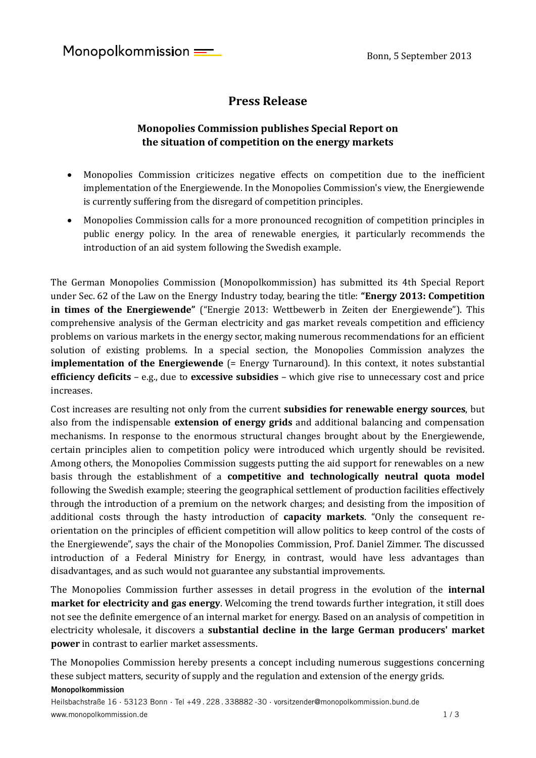# **Press Release**

## **Monopolies Commission publishes Special Report on the situation of competition on the energy markets**

- Monopolies Commission criticizes negative effects on competition due to the inefficient implementation of the Energiewende. In the Monopolies Commission's view, the Energiewende is currently suffering from the disregard of competition principles.
- Monopolies Commission calls for a more pronounced recognition of competition principles in public energy policy. In the area of renewable energies, it particularly recommends the introduction of an aid system following the Swedish example.

The German Monopolies Commission (Monopolkommission) has submitted its 4th Special Report under Sec. 62 of the Law on the Energy Industry today, bearing the title: **"Energy 2013: Competition in times of the Energiewende"** ("Energie 2013: Wettbewerb in Zeiten der Energiewende"). This comprehensive analysis of the German electricity and gas market reveals competition and efficiency problems on various markets in the energy sector, making numerous recommendations for an efficient solution of existing problems. In a special section, the Monopolies Commission analyzes the **implementation of the Energiewende** (= Energy Turnaround). In this context, it notes substantial **efficiency deficits** – e.g., due to **excessive subsidies** – which give rise to unnecessary cost and price increases.

Cost increases are resulting not only from the current **subsidies for renewable energy sources**, but also from the indispensable **extension of energy grids** and additional balancing and compensation mechanisms. In response to the enormous structural changes brought about by the Energiewende, certain principles alien to competition policy were introduced which urgently should be revisited. Among others, the Monopolies Commission suggests putting the aid support for renewables on a new basis through the establishment of a **competitive and technologically neutral quota model** following the Swedish example; steering the geographical settlement of production facilities effectively through the introduction of a premium on the network charges; and desisting from the imposition of additional costs through the hasty introduction of **capacity markets**. "Only the consequent reorientation on the principles of efficient competition will allow politics to keep control of the costs of the Energiewende", says the chair of the Monopolies Commission, Prof. Daniel Zimmer. The discussed introduction of a Federal Ministry for Energy, in contrast, would have less advantages than disadvantages, and as such would not guarantee any substantial improvements.

The Monopolies Commission further assesses in detail progress in the evolution of the **internal market for electricity and gas energy**. Welcoming the trend towards further integration, it still does not see the definite emergence of an internal market for energy. Based on an analysis of competition in electricity wholesale, it discovers a **substantial decline in the large German producers' market power** in contrast to earlier market assessments.

The Monopolies Commission hereby presents a concept including numerous suggestions concerning these subject matters, security of supply and the regulation and extension of the energy grids.

#### **Monopolkommission**

Heilsbachstraße 16 · 53123 Bonn · Tel +49 . 228 . 338882 -30 · vorsitzender@monopolkommission.bund.de www.monopolkommission.de 1 / 3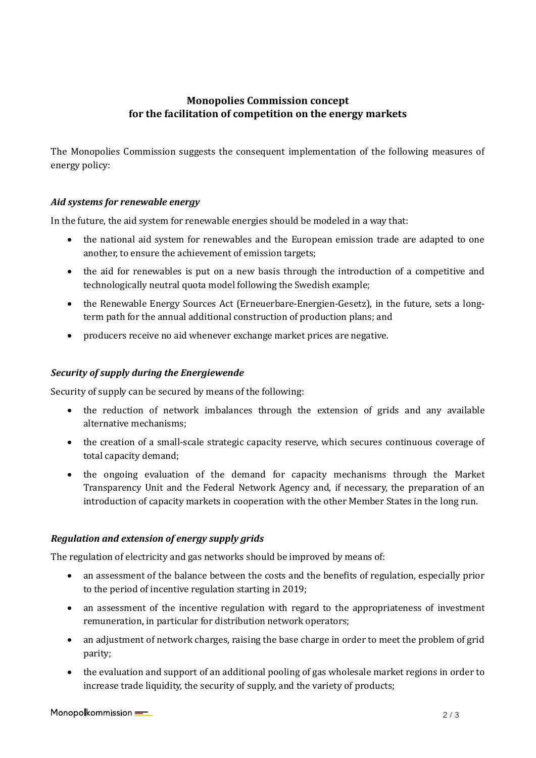## **Monopolies Commission concept for the facilitation of competition on the energy markets**

The Monopolies Commission suggests the consequent implementation of the following measures of energy policy:

### *Aid systems for renewable energy*

In the future, the aid system for renewable energies should be modeled in a way that:

- the national aid system for renewables and the European emission trade are adapted to one another, to ensure the achievement of emission targets;
- the aid for renewables is put on a new basis through the introduction of a competitive and technologically neutral quota model following the Swedish example;
- the Renewable Energy Sources Act (Erneuerbare-Energien-Gesetz), in the future, sets a longterm path for the annual additional construction of production plans; and
- producers receive no aid whenever exchange market prices are negative.

### *Security of supply during the Energiewende*

Security of supply can be secured by means of the following:

- the reduction of network imbalances through the extension of grids and any available alternative mechanisms;
- the creation of a small-scale strategic capacity reserve, which secures continuous coverage of total capacity demand;
- the ongoing evaluation of the demand for capacity mechanisms through the Market Transparency Unit and the Federal Network Agency and, if necessary, the preparation of an introduction of capacity markets in cooperation with the other Member States in the long run.

#### *Regulation and extension of energy supply grids*

The regulation of electricity and gas networks should be improved by means of:

- an assessment of the balance between the costs and the benefits of regulation, especially prior to the period of incentive regulation starting in 2019;
- an assessment of the incentive regulation with regard to the appropriateness of investment remuneration, in particular for distribution network operators;
- an adjustment of network charges, raising the base charge in order to meet the problem of grid parity;
- the evaluation and support of an additional pooling of gas wholesale market regions in order to increase trade liquidity, the security of supply, and the variety of products;